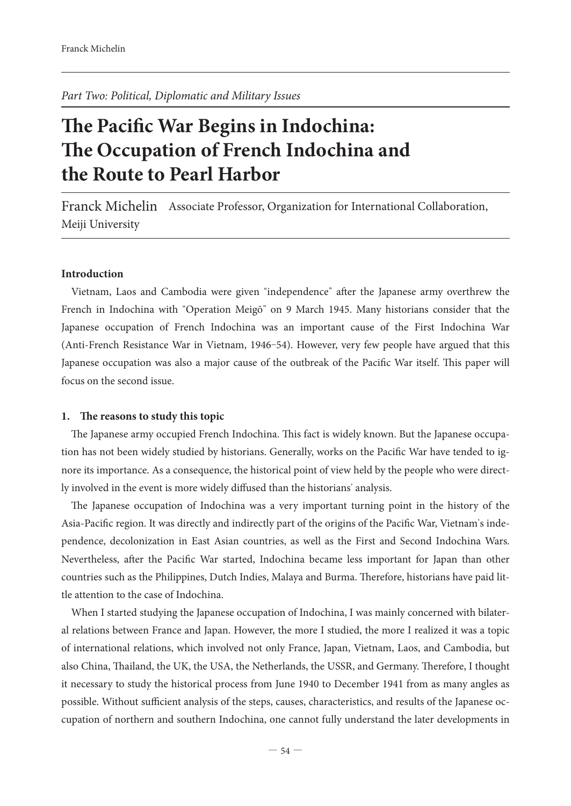*Part Two: Political, Diplomatic and Military Issues*

# **The Pacific War Begins in Indochina: e Occupation of French Indochina and the Route to Pearl Harbor**

Franck Michelin Associate Professor, Organization for International Collaboration, Meiji University

### **Introduction**

Vietnam, Laos and Cambodia were given "independence" after the Japanese army overthrew the French in Indochina with "Operation Meigō" on 9 March 1945. Many historians consider that the Japanese occupation of French Indochina was an important cause of the First Indochina War (Anti-French Resistance War in Vietnam, 1946-54). However, very few people have argued that this Japanese occupation was also a major cause of the outbreak of the Pacific War itself. This paper will focus on the second issue.

#### 1. The reasons to study this topic

The Japanese army occupied French Indochina. This fact is widely known. But the Japanese occupation has not been widely studied by historians. Generally, works on the Pacific War have tended to ignore its importance. As a consequence, the historical point of view held by the people who were directly involved in the event is more widely diffused than the historians' analysis.

The Japanese occupation of Indochina was a very important turning point in the history of the Asia-Pacific region. It was directly and indirectly part of the origins of the Pacific War, Vietnam's independence, decolonization in East Asian countries, as well as the First and Second Indochina Wars. Nevertheless, after the Pacific War started, Indochina became less important for Japan than other countries such as the Philippines, Dutch Indies, Malaya and Burma. Therefore, historians have paid little attention to the case of Indochina.

When I started studying the Japanese occupation of Indochina, I was mainly concerned with bilateral relations between France and Japan. However, the more I studied, the more I realized it was a topic of international relations, which involved not only France, Japan, Vietnam, Laos, and Cambodia, but also China, Thailand, the UK, the USA, the Netherlands, the USSR, and Germany. Therefore, I thought it necessary to study the historical process from June 1940 to December 1941 from as many angles as possible. Without sufficient analysis of the steps, causes, characteristics, and results of the Japanese occupation of northern and southern Indochina, one cannot fully understand the later developments in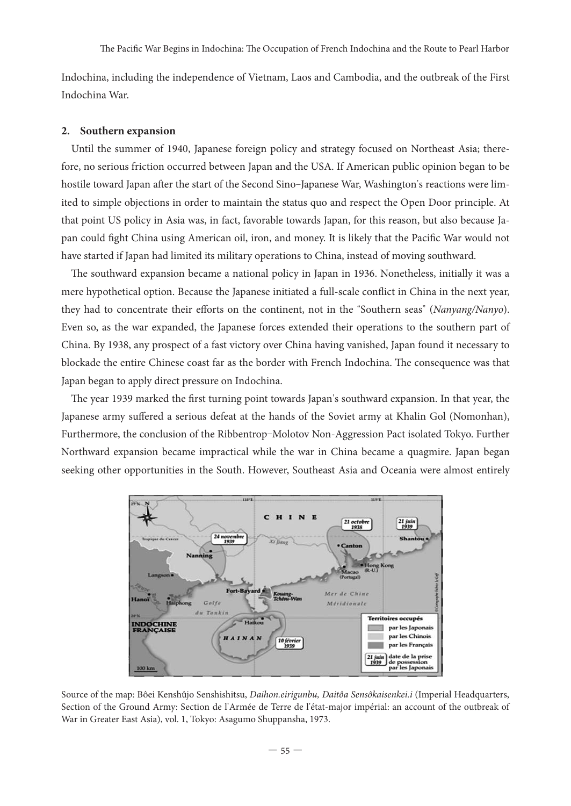Indochina, including the independence of Vietnam, Laos and Cambodia, and the outbreak of the First Indochina War.

#### **2. Southern expansion**

Until the summer of 1940, Japanese foreign policy and strategy focused on Northeast Asia; therefore, no serious friction occurred between Japan and the USA. If American public opinion began to be hostile toward Japan after the start of the Second Sino-Japanese War, Washington's reactions were limited to simple objections in order to maintain the status quo and respect the Open Door principle. At that point US policy in Asia was, in fact, favorable towards Japan, for this reason, but also because Japan could fight China using American oil, iron, and money. It is likely that the Pacific War would not have started if Japan had limited its military operations to China, instead of moving southward.

The southward expansion became a national policy in Japan in 1936. Nonetheless, initially it was a mere hypothetical option. Because the Japanese initiated a full-scale conflict in China in the next year, they had to concentrate their efforts on the continent, not in the "Southern seas" (*Nanyang/Nanyo*). Even so, as the war expanded, the Japanese forces extended their operations to the southern part of China. By 1938, any prospect of a fast victory over China having vanished, Japan found it necessary to blockade the entire Chinese coast far as the border with French Indochina. The consequence was that Japan began to apply direct pressure on Indochina.

The year 1939 marked the first turning point towards Japan's southward expansion. In that year, the Japanese army suffered a serious defeat at the hands of the Soviet army at Khalin Gol (Nomonhan), Furthermore, the conclusion of the Ribbentrop-Molotov Non-Aggression Pact isolated Tokyo. Further Northward expansion became impractical while the war in China became a quagmire. Japan began seeking other opportunities in the South. However, Southeast Asia and Oceania were almost entirely



Source of the map: Bôei Kenshûjo Senshishitsu, *Daihon.eirigunbu, Daitôa Sensôkaisenkei.i* (Imperial Headquarters, Section of the Ground Army: Section de l'Armée de Terre de l'état-major impérial: an account of the outbreak of War in Greater East Asia), vol. 1, Tokyo: Asagumo Shuppansha, 1973.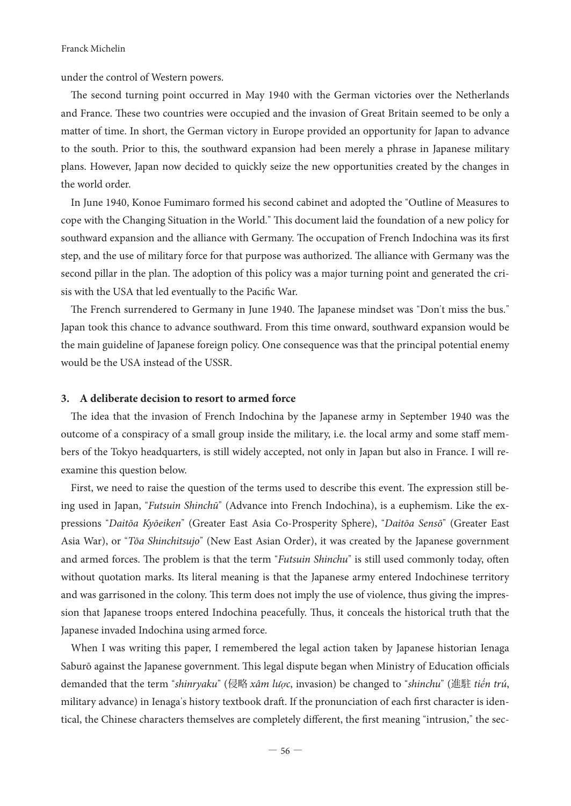under the control of Western powers.

The second turning point occurred in May 1940 with the German victories over the Netherlands and France. These two countries were occupied and the invasion of Great Britain seemed to be only a matter of time. In short, the German victory in Europe provided an opportunity for Japan to advance to the south. Prior to this, the southward expansion had been merely a phrase in Japanese military plans. However, Japan now decided to quickly seize the new opportunities created by the changes in the world order.

In June 1940, Konoe Fumimaro formed his second cabinet and adopted the "Outline of Measures to cope with the Changing Situation in the World." This document laid the foundation of a new policy for southward expansion and the alliance with Germany. The occupation of French Indochina was its first step, and the use of military force for that purpose was authorized. The alliance with Germany was the second pillar in the plan. The adoption of this policy was a major turning point and generated the crisis with the USA that led eventually to the Pacific War.

The French surrendered to Germany in June 1940. The Japanese mindset was "Don't miss the bus." Japan took this chance to advance southward. From this time onward, southward expansion would be the main guideline of Japanese foreign policy. One consequence was that the principal potential enemy would be the USA instead of the USSR.

# **3. A deliberate decision to resort to armed force**

The idea that the invasion of French Indochina by the Japanese army in September 1940 was the outcome of a conspiracy of a small group inside the military, i.e. the local army and some staff members of the Tokyo headquarters, is still widely accepted, not only in Japan but also in France. I will reexamine this question below.

First, we need to raise the question of the terms used to describe this event. The expression still being used in Japan, "*Futsuin Shinchū*" (Advance into French Indochina), is a euphemism. Like the expressions "*Daitōa Kyōeiken*" (Greater East Asia Co-Prosperity Sphere), "*Daitōa Sensō*" (Greater East Asia War), or "*Tōa Shinchitsujo*" (New East Asian Order), it was created by the Japanese government and armed forces. The problem is that the term "*Futsuin Shinchu*" is still used commonly today, often without quotation marks. Its literal meaning is that the Japanese army entered Indochinese territory and was garrisoned in the colony. This term does not imply the use of violence, thus giving the impression that Japanese troops entered Indochina peacefully. Thus, it conceals the historical truth that the Japanese invaded Indochina using armed force.

When I was writing this paper, I remembered the legal action taken by Japanese historian Ienaga Saburō against the Japanese government. This legal dispute began when Ministry of Education officials demanded that the term "*shinryaku*" (侵略 *xâm lược*, invasion) be changed to "*shinchu*" (進駐 *tiến trú*, military advance) in Ienaga's history textbook draft. If the pronunciation of each first character is identical, the Chinese characters themselves are completely different, the first meaning "intrusion," the sec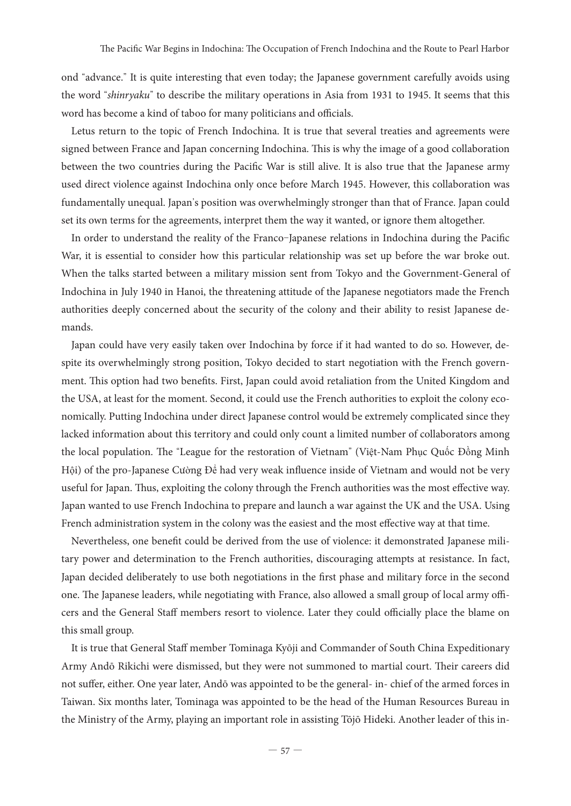ond "advance." It is quite interesting that even today; the Japanese government carefully avoids using the word "shinryaku" to describe the military operations in Asia from 1931 to 1945. It seems that this word has become a kind of taboo for many politicians and officials.

Letus return to the topic of French Indochina. It is true that several treaties and agreements were signed between France and Japan concerning Indochina. This is why the image of a good collaboration between the two countries during the Pacific War is still alive. It is also true that the Japanese army used direct violence against Indochina only once before March 1945. However, this collaboration was fundamentally unequal. Japan's position was overwhelmingly stronger than that of France. Japan could set its own terms for the agreements, interpret them the way it wanted, or ignore them altogether.

In order to understand the reality of the Franco-Japanese relations in Indochina during the Pacific War, it is essential to consider how this particular relationship was set up before the war broke out. When the talks started between a military mission sent from Tokyo and the Government-General of Indochina in July 1940 in Hanoi, the threatening attitude of the Japanese negotiators made the French authorities deeply concerned about the security of the colony and their ability to resist Japanese demands.

Japan could have very easily taken over Indochina by force if it had wanted to do so. However, despite its overwhelmingly strong position, Tokyo decided to start negotiation with the French government. This option had two benefits. First, Japan could avoid retaliation from the United Kingdom and the USA, at least for the moment. Second, it could use the French authorities to exploit the colony economically. Putting Indochina under direct Japanese control would be extremely complicated since they lacked information about this territory and could only count a limited number of collaborators among the local population. The "League for the restoration of Vietnam" (Việt-Nam Phục Quốc Đồng Minh Hội) of the pro-Japanese Cường Đế had very weak influence inside of Vietnam and would not be very useful for Japan. Thus, exploiting the colony through the French authorities was the most effective way. Japan wanted to use French Indochina to prepare and launch a war against the UK and the USA. Using French administration system in the colony was the easiest and the most effective way at that time.

Nevertheless, one benefit could be derived from the use of violence: it demonstrated Japanese military power and determination to the French authorities, discouraging attempts at resistance. In fact, Japan decided deliberately to use both negotiations in the first phase and military force in the second one. The Japanese leaders, while negotiating with France, also allowed a small group of local army officers and the General Staff members resort to violence. Later they could officially place the blame on this small group.

It is true that General Staff member Tominaga Kyōji and Commander of South China Expeditionary Army Andō Rikichi were dismissed, but they were not summoned to martial court. Their careers did not suffer, either. One year later, Andō was appointed to be the general- in-chief of the armed forces in Taiwan. Six months later, Tominaga was appointed to be the head of the Human Resources Bureau in the Ministry of the Army, playing an important role in assisting Tōjō Hideki. Another leader of this in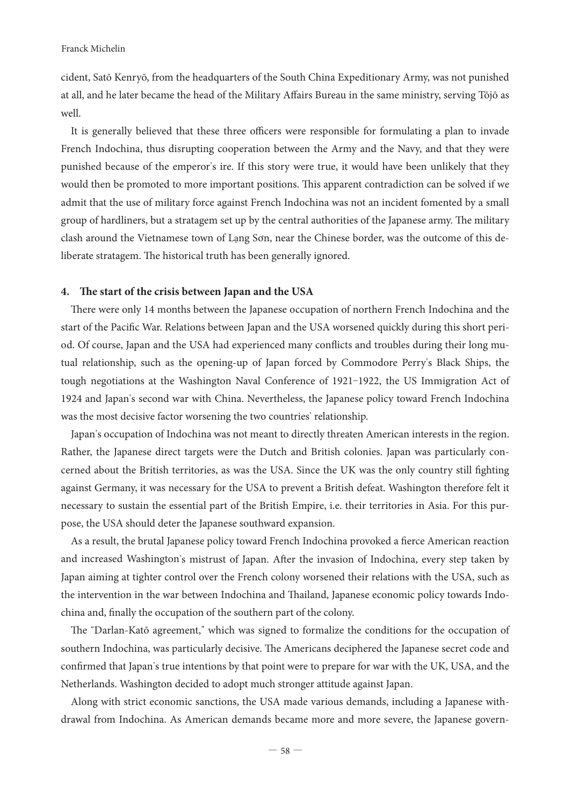cident, Satō Kenryō, from the headquarters of the South China Expeditionary Army, was not punished at all, and he later became the head of the Military Affairs Bureau in the same ministry, serving Tōjō as well.

It is generally believed that these three officers were responsible for formulating a plan to invade French Indochina, thus disrupting cooperation between the Army and the Navy, and that they were punished because of the emperor's ire. If this story were true, it would have been unlikely that they would then be promoted to more important positions. This apparent contradiction can be solved if we admit that the use of military force against French Indochina was not an incident fomented by a small group of hardliners, but a stratagem set up by the central authorities of the Japanese army. The military clash around the Vietnamese town of Lạng Sơn, near the Chinese border, was the outcome of this deliberate stratagem. The historical truth has been generally ignored.

# 4. The start of the crisis between Japan and the USA

There were only 14 months between the Japanese occupation of northern French Indochina and the start of the Pacific War. Relations between Japan and the USA worsened quickly during this short period. Of course, Japan and the USA had experienced many conflicts and troubles during their long mutual relationship, such as the opening-up of Japan forced by Commodore Perry's Black Ships, the tough negotiations at the Washington Naval Conference of 1921-1922, the US Immigration Act of 1924 and Japan's second war with China. Nevertheless, the Japanese policy toward French Indochina was the most decisive factor worsening the two countries' relationship.

Japan's occupation of Indochina was not meant to directly threaten American interests in the region. Rather, the Japanese direct targets were the Dutch and British colonies. Japan was particularly concerned about the British territories, as was the USA. Since the UK was the only country still fighting against Germany, it was necessary for the USA to prevent a British defeat. Washington therefore felt it necessary to sustain the essential part of the British Empire, i.e. their territories in Asia. For this purpose, the USA should deter the Japanese southward expansion.

As a result, the brutal Japanese policy toward French Indochina provoked a fierce American reaction and increased Washington's mistrust of Japan. After the invasion of Indochina, every step taken by Japan aiming at tighter control over the French colony worsened their relations with the USA, such as the intervention in the war between Indochina and Thailand, Japanese economic policy towards Indochina and, finally the occupation of the southern part of the colony.

The "Darlan-Katō agreement," which was signed to formalize the conditions for the occupation of southern Indochina, was particularly decisive. The Americans deciphered the Japanese secret code and confirmed that Japan's true intentions by that point were to prepare for war with the UK, USA, and the Netherlands. Washington decided to adopt much stronger attitude against Japan.

Along with strict economic sanctions, the USA made various demands, including a Japanese withdrawal from Indochina. As American demands became more and more severe, the Japanese govern-